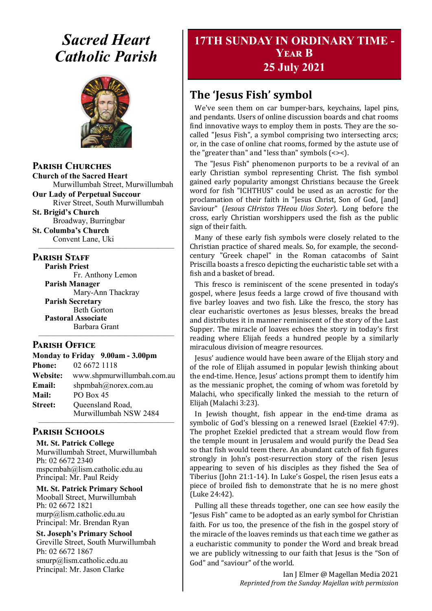# *Sacred Heart Catholic Parish*



**Parish Churches**

**Church of the Sacred Heart** Murwillumbah Street, Murwillumbah

**Our Lady of Perpetual Succour** River Street, South Murwillumbah

**St. Brigid's Church** Broadway, Burringbar

**St. Columba's Church** Convent Lane, Uki —————————————————

#### **PARISH STAFF**

**Parish Priest**

Fr. Anthony Lemon **Parish Manager** Mary-Ann Thackray **Parish Secretary** Beth Gorton **Pastoral Associate** Barbara Grant

#### **Parish Office**

**Monday to Friday 9.00am - 3.00pm Phone:** 02 6672 1118 **Website:** www.shpmurwillumbah.com.au Email: shpmbah@norex.com.au **Mail:** PO Box 45 **Street:** Oueensland Road, Murwillumbah NSW 2484 —————————————————

—————————————————

## **Parish Schools**

**Mt. St. Patrick College** Murwillumbah Street, Murwillumbah Ph: 02 6672 2340 mspcmbah@lism.catholic.edu.au Principal: Mr. Paul Reidy

**Mt. St. Patrick Primary School** Mooball Street, Murwillumbah Ph: 02 6672 1821 murp@lism.catholic.edu.au Principal: Mr. Brendan Ryan

**St. Joseph's Primary School** Greville Street, South Murwillumbah Ph: 02 6672 1867 smurp@lism.catholic.edu.au Principal: Mr. Jason Clarke

## **17TH SUNDAY IN ORDINARY TIME - Year B 25 July 2021**

## **The 'Jesus Fish' symbol**

We've seen them on car bumper-bars, keychains, lapel pins, and pendants. Users of online discussion boards and chat rooms find innovative ways to employ them in posts. They are the socalled "Jesus Fish", a symbol comprising two intersecting arcs; or, in the case of online chat rooms, formed by the astute use of the "greater than" and "less than" symbols (<><).

The "Jesus Fish" phenomenon purports to be a revival of an early Christian symbol representing Christ. The fish symbol gained early popularity amongst Christians because the Greek word for fish "ICHTHUS" could be used as an acrostic for the proclamation of their faith in "Jesus Christ, Son of God, [and] Saviour" (*Iesous CHristos THeou Uios Soter*). Long before the cross, early Christian worshippers used the fish as the public sign of their faith.

Many of these early fish symbols were closely related to the Christian practice of shared meals. So, for example, the secondcentury "Greek chapel" in the Roman catacombs of Saint Priscilla boasts a fresco depicting the eucharistic table set with a fish and a basket of bread.

This fresco is reminiscent of the scene presented in today's gospel, where Jesus feeds a large crowd of five thousand with five barley loaves and two fish. Like the fresco, the story has clear eucharistic overtones as Jesus blesses, breaks the bread and distributes it in manner reminiscent of the story of the Last Supper. The miracle of loaves echoes the story in today's first reading where Elijah feeds a hundred people by a similarly miraculous division of meagre resources.

Jesus' audience would have been aware of the Elijah story and of the role of Elijah assumed in popular Jewish thinking about the end-time. Hence, Jesus' actions prompt them to identify him as the messianic prophet, the coming of whom was foretold by Malachi, who specifically linked the messiah to the return of Elijah (Malachi 3:23).

In Jewish thought, fish appear in the end-time drama as symbolic of God's blessing on a renewed Israel (Ezekiel 47:9). The prophet Ezekiel predicted that a stream would flow from the temple mount in Jerusalem and would purify the Dead Sea so that fish would teem there. An abundant catch of fish figures strongly in John's post-resurrection story of the risen Jesus appearing to seven of his disciples as they fished the Sea of Tiberius (John 21:1-14). In Luke's Gospel, the risen Jesus eats a piece of broiled fish to demonstrate that he is no mere ghost (Luke 24:42).

Pulling all these threads together, one can see how easily the "Jesus Fish" came to be adopted as an early symbol for Christian faith. For us too, the presence of the fish in the gospel story of the miracle of the loaves reminds us that each time we gather as a eucharistic community to ponder the Word and break bread we are publicly witnessing to our faith that Jesus is the "Son of God" and "saviour" of the world.

> Ian J Elmer @ Magellan Media 2021 *Reprinted from the Sunday Majellan with permission*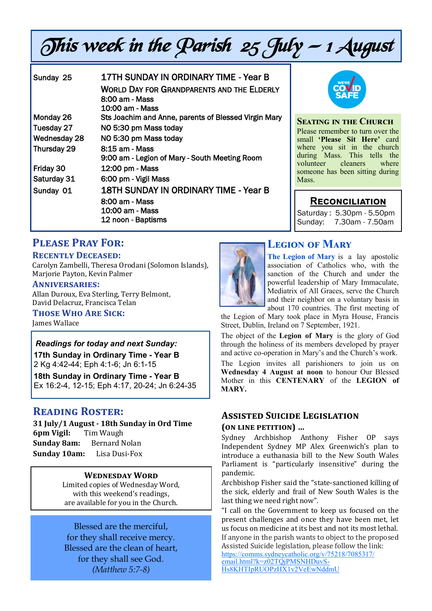# This week in the Parish  $25$  July  $-1$  August

| Sunday 25           | 17TH SUNDAY IN ORDINARY TIME - Year B                |
|---------------------|------------------------------------------------------|
|                     | <b>WORLD DAY FOR GRANDPARENTS AND THE ELDERLY</b>    |
|                     | 8:00 am - Mass                                       |
|                     | $10:00$ am - Mass                                    |
| Monday 26           | Sts Joachim and Anne, parents of Blessed Virgin Mary |
| Tuesday 27          | NO 5:30 pm Mass today                                |
| <b>Wednesday 28</b> | NO 5:30 pm Mass today                                |
| Thursday 29         | 8:15 am - Mass                                       |
|                     | 9:00 am - Legion of Mary - South Meeting Room        |
| Friday 30           | 12:00 pm - Mass                                      |
| Saturday 31         | 6:00 pm - Vigil Mass                                 |
| Sunday 01           | 18TH SUNDAY IN ORDINARY TIME - Year B                |
|                     | 8:00 am - Mass                                       |
|                     | 10:00 am - Mass                                      |
|                     | 12 noon - Baptisms                                   |
|                     |                                                      |



#### **Seating in the Church**

Please remember to turn over the small **'Please Sit Here'** card where you sit in the church during Mass. This tells the<br>volunteer cleaners where volunteer someone has been sitting during Mass.

## **Reconciliation**

Saturday : 5.30pm - 5.50pm Sunday: 7.30am - 7.50am

## **Please Pray For:**

#### **Recently Deceased:**

Carolyn Zambelli, Theresa Orodani (Solomon Islands), Marjorie Payton, Kevin Palmer

#### **Anniversaries:**

Allan Duroux, Eva Sterling, Terry Belmont, David Delacruz, Francisca Telan

**Those Who Are Sick:** 

James Wallace

#### *Readings for today and next Sunday:*

**17th Sunday in Ordinary Time - Year B**  2 Kg 4:42-44; Eph 4:1-6; Jn 6:1-15

**18th Sunday in Ordinary Time - Year B**  Ex 16:2-4, 12-15; Eph 4:17, 20-24; Jn 6:24-35

## **Reading Roster:**

**31 July/1 August - 18th Sunday in Ord Time 6pm Vigil:** Tim Waugh **Sunday 8am:** Bernard Nolan **Sunday 10am:** Lisa Dusi-Fox

#### **Wednesday Word**

Limited copies of Wednesday Word, with this weekend's readings, are available for you in the Church.

Blessed are the merciful, for they shall receive mercy. Blessed are the clean of heart, for they shall see God. *(Matthew 5:7-8)*



## **Legion of Mary**

**The Legion of Mary** is a lay apostolic association of Catholics who, with the sanction of the Church and under the powerful leadership of Mary Immaculate, Mediatrix of All Graces, serve the Church and their neighbor on a voluntary basis in about 170 countries. The first meeting of

the Legion of Mary took place in Myra House, Francis Street, Dublin, Ireland on 7 September, 1921.

The object of the **Legion of Mary** is the glory of God through the holiness of its members developed by prayer and active co-operation in Mary's and the Church's work.

The Legion invites all parishioners to join us on **Wednesday 4 August at noon** to honour Our Blessed Mother in this **CENTENARY** of the **LEGION of MARY.**

#### **Assisted Suicide Legislation (on line petition) …**

Sydney Archbishop Anthony Fisher OP says Independent Sydney MP Alex Greenwich's plan to introduce a euthanasia bill to the New South Wales Parliament is "particularly insensitive" during the pandemic.

Archbishop Fisher said the "state-sanctioned killing of the sick, elderly and frail of New South Wales is the last thing we need right now".

"I call on the Government to keep us focused on the present challenges and once they have been met, let us focus on medicine at its best and not its most lethal. If anyone in the parish wants to object to the proposed Assisted Suicide legislation, please follow the link:

[https://comms.sydneycatholic.org/v/75218/7085317/](https://comms.sydneycatholic.org/v/75218/7085317/email.html?k=z02TQjPMSNHDuvS-Hs8KHTIpRUOPzHX1v2VeEwNddmU) [email.html?k=z02TQjPMSNHDuvS](https://comms.sydneycatholic.org/v/75218/7085317/email.html?k=z02TQjPMSNHDuvS-Hs8KHTIpRUOPzHX1v2VeEwNddmU)-[Hs8KHTIpRUOPzHX1v2VeEwNddmU](https://comms.sydneycatholic.org/v/75218/7085317/email.html?k=z02TQjPMSNHDuvS-Hs8KHTIpRUOPzHX1v2VeEwNddmU)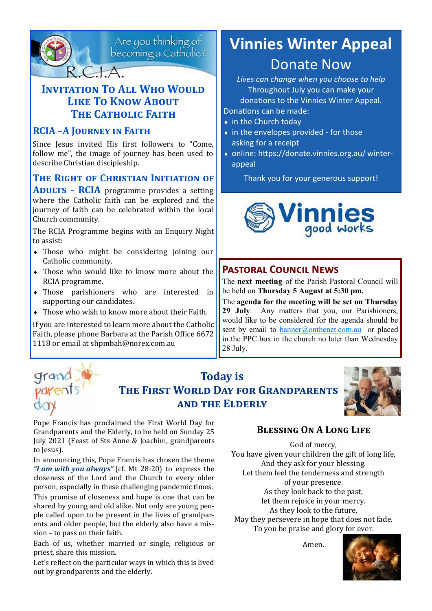

Are you thinking of<br>becoming a Catholic?

## **INVITATION TO ALL WHO WOULD Like To Know About THE CATHOLIC FAITH**

## **RCIA –A Journey in Faith**

Since Jesus invited His first followers to "Come, follow me", the image of journey has been used to describe Christian discipleship.

## **The Right of Christian Initiation of**

**Adults - RCIA** programme provides a setting where the Catholic faith can be explored and the journey of faith can be celebrated within the local Church community.

The RCIA Programme begins with an Enquiry Night to assist:

- Those who might be considering joining our Catholic community.
- Those who would like to know more about the RCIA programme.
- Those parishioners who are interested in supporting our candidates.
- Those who wish to know more about their Faith.

If you are interested to learn more about the Catholic Faith, please phone Barbara at the Parish Office 6672 1118 or email at shpmbah@norex.com.au

# **Vinnies Winter Appeal** Donate Now

*Lives can change when you choose to help* Throughout July you can make your donations to the Vinnies Winter Appeal.

Donations can be made:

- in the Church today
- $\bullet$  in the envelopes provided for those asking for a receipt
- online: https://donate.vinnies.org.au/ winterappeal

Thank you for your generous support!



## **Pastoral Council News**

The **next meeting** of the Parish Pastoral Council will be held on **Thursday 5 August at 5:30 pm.**

The **agenda for the meeting will be set on Thursday 29 July**. Any matters that you, our Parishioners, would like to be considered for the agenda should be sent by email to  $banner@onthenet.com.au$  or placed in the PPC box in the church no later than Wednesday 28 July.

## **Today is The First World Day for Grandparents and the Elderly**



Pope Francis has proclaimed the First World Day for Grandparents and the Elderly, to be held on Sunday 25 July 2021 (Feast of Sts Anne & Joachim, grandparents to Jesus).

In announcing this, Pope Francis has chosen the theme *"I am with you always"* (cf. Mt 28:20) to express the closeness of the Lord and the Church to every older person, especially in these challenging pandemic times.

This promise of closeness and hope is one that can be shared by young and old alike. Not only are young people called upon to be present in the lives of grandparents and older people, but the elderly also have a mission – to pass on their faith.

Each of us, whether married or single, religious or priest, share this mission.

Let's reflect on the particular ways in which this is lived out by grandparents and the elderly.

## **Blessing On A Long Life**

God of mercy, You have given your children the gift of long life, And they ask for your blessing. Let them feel the tenderness and strength of your presence. As they look back to the past, let them rejoice in your mercy. As they look to the future, May they persevere in hope that does not fade. To you be praise and glory for ever.

Amen.